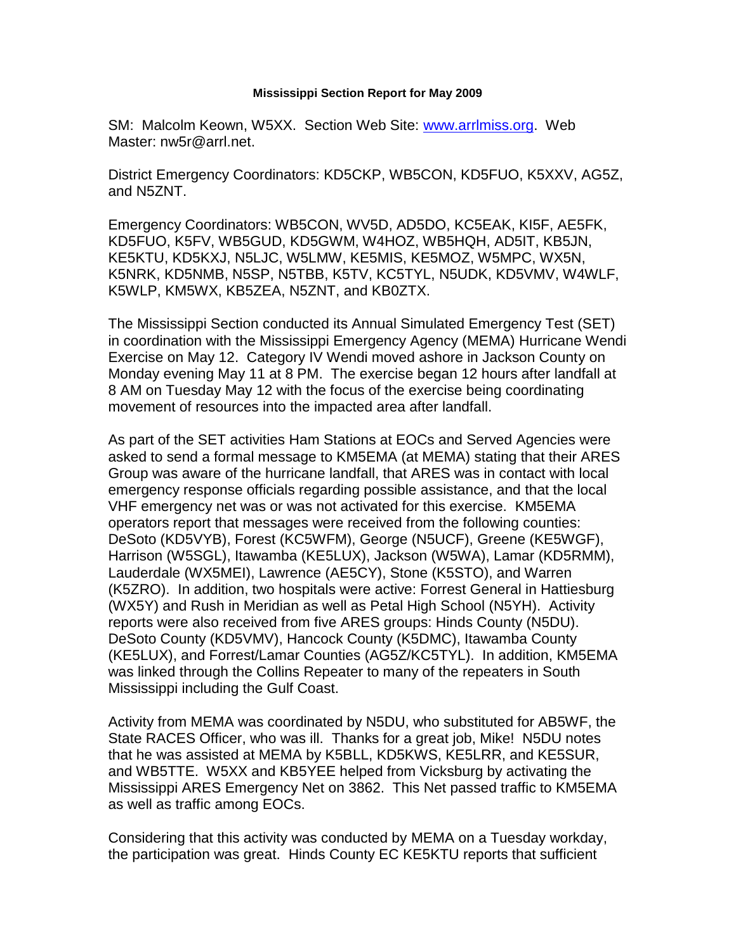## **Mississippi Section Report for May 2009**

SM: Malcolm Keown, W5XX. Section Web Site: [www.arrlmiss.org.](http://www.arrlmiss.org/) Web Master: nw5r@arrl.net.

District Emergency Coordinators: KD5CKP, WB5CON, KD5FUO, K5XXV, AG5Z, and N5ZNT.

Emergency Coordinators: WB5CON, WV5D, AD5DO, KC5EAK, KI5F, AE5FK, KD5FUO, K5FV, WB5GUD, KD5GWM, W4HOZ, WB5HQH, AD5IT, KB5JN, KE5KTU, KD5KXJ, N5LJC, W5LMW, KE5MIS, KE5MOZ, W5MPC, WX5N, K5NRK, KD5NMB, N5SP, N5TBB, K5TV, KC5TYL, N5UDK, KD5VMV, W4WLF, K5WLP, KM5WX, KB5ZEA, N5ZNT, and KB0ZTX.

The Mississippi Section conducted its Annual Simulated Emergency Test (SET) in coordination with the Mississippi Emergency Agency (MEMA) Hurricane Wendi Exercise on May 12. Category IV Wendi moved ashore in Jackson County on Monday evening May 11 at 8 PM. The exercise began 12 hours after landfall at 8 AM on Tuesday May 12 with the focus of the exercise being coordinating movement of resources into the impacted area after landfall.

As part of the SET activities Ham Stations at EOCs and Served Agencies were asked to send a formal message to KM5EMA (at MEMA) stating that their ARES Group was aware of the hurricane landfall, that ARES was in contact with local emergency response officials regarding possible assistance, and that the local VHF emergency net was or was not activated for this exercise. KM5EMA operators report that messages were received from the following counties: DeSoto (KD5VYB), Forest (KC5WFM), George (N5UCF), Greene (KE5WGF), Harrison (W5SGL), Itawamba (KE5LUX), Jackson (W5WA), Lamar (KD5RMM), Lauderdale (WX5MEI), Lawrence (AE5CY), Stone (K5STO), and Warren (K5ZRO). In addition, two hospitals were active: Forrest General in Hattiesburg (WX5Y) and Rush in Meridian as well as Petal High School (N5YH). Activity reports were also received from five ARES groups: Hinds County (N5DU). DeSoto County (KD5VMV), Hancock County (K5DMC), Itawamba County (KE5LUX), and Forrest/Lamar Counties (AG5Z/KC5TYL). In addition, KM5EMA was linked through the Collins Repeater to many of the repeaters in South Mississippi including the Gulf Coast.

Activity from MEMA was coordinated by N5DU, who substituted for AB5WF, the State RACES Officer, who was ill. Thanks for a great job, Mike! N5DU notes that he was assisted at MEMA by K5BLL, KD5KWS, KE5LRR, and KE5SUR, and WB5TTE. W5XX and KB5YEE helped from Vicksburg by activating the Mississippi ARES Emergency Net on 3862. This Net passed traffic to KM5EMA as well as traffic among EOCs.

Considering that this activity was conducted by MEMA on a Tuesday workday, the participation was great. Hinds County EC KE5KTU reports that sufficient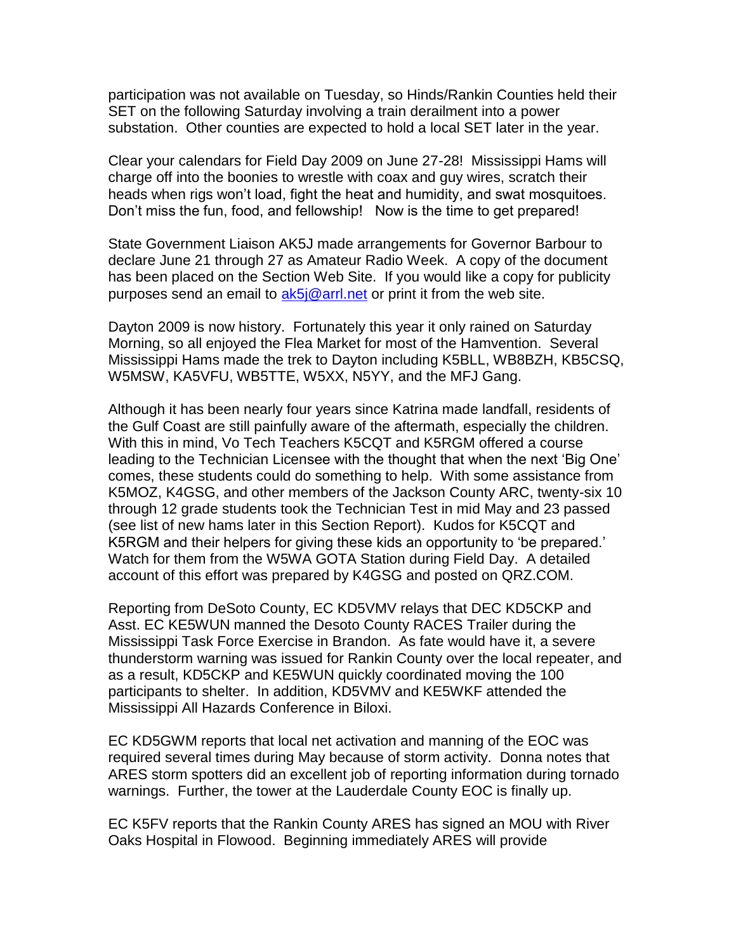participation was not available on Tuesday, so Hinds/Rankin Counties held their SET on the following Saturday involving a train derailment into a power substation. Other counties are expected to hold a local SET later in the year.

Clear your calendars for Field Day 2009 on June 27-28! Mississippi Hams will charge off into the boonies to wrestle with coax and guy wires, scratch their heads when rigs won't load, fight the heat and humidity, and swat mosquitoes. Don't miss the fun, food, and fellowship! Now is the time to get prepared!

State Government Liaison AK5J made arrangements for Governor Barbour to declare June 21 through 27 as Amateur Radio Week. A copy of the document has been placed on the Section Web Site. If you would like a copy for publicity purposes send an email to  $ak5\overline{\omega}$  arrl.net or print it from the web site.

Dayton 2009 is now history. Fortunately this year it only rained on Saturday Morning, so all enjoyed the Flea Market for most of the Hamvention. Several Mississippi Hams made the trek to Dayton including K5BLL, WB8BZH, KB5CSQ, W5MSW, KA5VFU, WB5TTE, W5XX, N5YY, and the MFJ Gang.

Although it has been nearly four years since Katrina made landfall, residents of the Gulf Coast are still painfully aware of the aftermath, especially the children. With this in mind, Vo Tech Teachers K5CQT and K5RGM offered a course leading to the Technician Licensee with the thought that when the next 'Big One' comes, these students could do something to help. With some assistance from K5MOZ, K4GSG, and other members of the Jackson County ARC, twenty-six 10 through 12 grade students took the Technician Test in mid May and 23 passed (see list of new hams later in this Section Report). Kudos for K5CQT and K5RGM and their helpers for giving these kids an opportunity to 'be prepared.' Watch for them from the W5WA GOTA Station during Field Day. A detailed account of this effort was prepared by K4GSG and posted on QRZ.COM.

Reporting from DeSoto County, EC KD5VMV relays that DEC KD5CKP and Asst. EC KE5WUN manned the Desoto County RACES Trailer during the Mississippi Task Force Exercise in Brandon. As fate would have it, a severe thunderstorm warning was issued for Rankin County over the local repeater, and as a result, KD5CKP and KE5WUN quickly coordinated moving the 100 participants to shelter. In addition, KD5VMV and KE5WKF attended the Mississippi All Hazards Conference in Biloxi.

EC KD5GWM reports that local net activation and manning of the EOC was required several times during May because of storm activity. Donna notes that ARES storm spotters did an excellent job of reporting information during tornado warnings. Further, the tower at the Lauderdale County EOC is finally up.

EC K5FV reports that the Rankin County ARES has signed an MOU with River Oaks Hospital in Flowood. Beginning immediately ARES will provide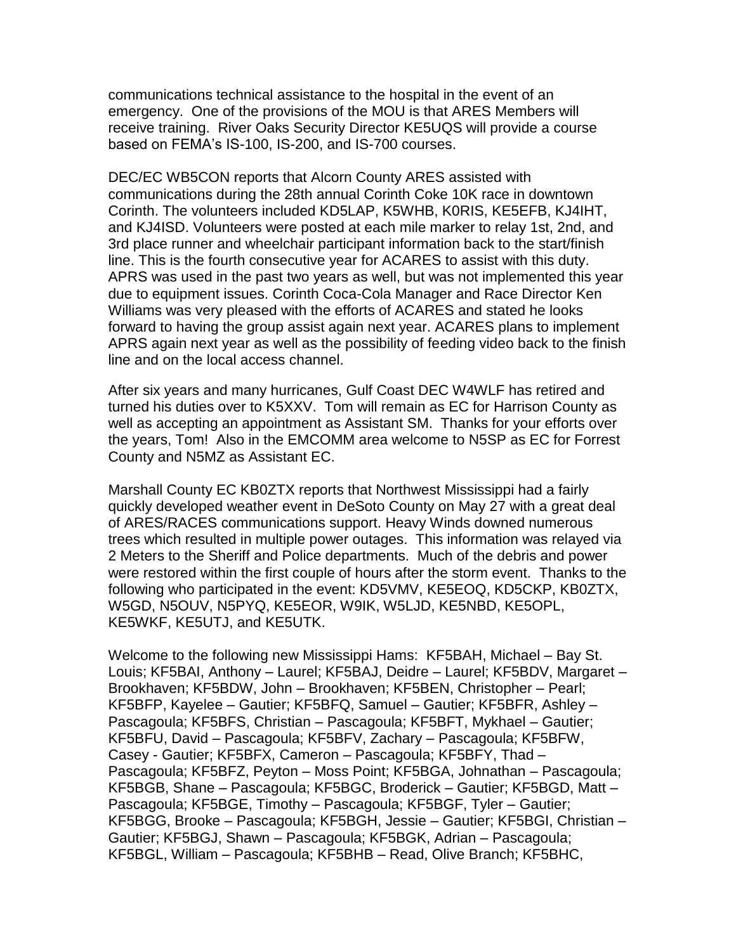communications technical assistance to the hospital in the event of an emergency. One of the provisions of the MOU is that ARES Members will receive training. River Oaks Security Director KE5UQS will provide a course based on FEMA's IS-100, IS-200, and IS-700 courses.

DEC/EC WB5CON reports that Alcorn County ARES assisted with communications during the 28th annual Corinth Coke 10K race in downtown Corinth. The volunteers included KD5LAP, K5WHB, K0RIS, KE5EFB, KJ4IHT, and KJ4ISD. Volunteers were posted at each mile marker to relay 1st, 2nd, and 3rd place runner and wheelchair participant information back to the start/finish line. This is the fourth consecutive year for ACARES to assist with this duty. APRS was used in the past two years as well, but was not implemented this year due to equipment issues. Corinth Coca-Cola Manager and Race Director Ken Williams was very pleased with the efforts of ACARES and stated he looks forward to having the group assist again next year. ACARES plans to implement APRS again next year as well as the possibility of feeding video back to the finish line and on the local access channel.

After six years and many hurricanes, Gulf Coast DEC W4WLF has retired and turned his duties over to K5XXV. Tom will remain as EC for Harrison County as well as accepting an appointment as Assistant SM. Thanks for your efforts over the years, Tom! Also in the EMCOMM area welcome to N5SP as EC for Forrest County and N5MZ as Assistant EC.

Marshall County EC KB0ZTX reports that Northwest Mississippi had a fairly quickly developed weather event in DeSoto County on May 27 with a great deal of ARES/RACES communications support. Heavy Winds downed numerous trees which resulted in multiple power outages. This information was relayed via 2 Meters to the Sheriff and Police departments. Much of the debris and power were restored within the first couple of hours after the storm event. Thanks to the following who participated in the event: KD5VMV, KE5EOQ, KD5CKP, KB0ZTX, W5GD, N5OUV, N5PYQ, KE5EOR, W9IK, W5LJD, KE5NBD, KE5OPL, KE5WKF, KE5UTJ, and KE5UTK.

Welcome to the following new Mississippi Hams: KF5BAH, Michael – Bay St. Louis; KF5BAI, Anthony – Laurel; KF5BAJ, Deidre – Laurel; KF5BDV, Margaret – Brookhaven; KF5BDW, John – Brookhaven; KF5BEN, Christopher – Pearl; KF5BFP, Kayelee – Gautier; KF5BFQ, Samuel – Gautier; KF5BFR, Ashley – Pascagoula; KF5BFS, Christian – Pascagoula; KF5BFT, Mykhael – Gautier; KF5BFU, David – Pascagoula; KF5BFV, Zachary – Pascagoula; KF5BFW, Casey - Gautier; KF5BFX, Cameron – Pascagoula; KF5BFY, Thad – Pascagoula; KF5BFZ, Peyton – Moss Point; KF5BGA, Johnathan – Pascagoula; KF5BGB, Shane – Pascagoula; KF5BGC, Broderick – Gautier; KF5BGD, Matt – Pascagoula; KF5BGE, Timothy – Pascagoula; KF5BGF, Tyler – Gautier; KF5BGG, Brooke – Pascagoula; KF5BGH, Jessie – Gautier; KF5BGI, Christian – Gautier; KF5BGJ, Shawn – Pascagoula; KF5BGK, Adrian – Pascagoula; KF5BGL, William – Pascagoula; KF5BHB – Read, Olive Branch; KF5BHC,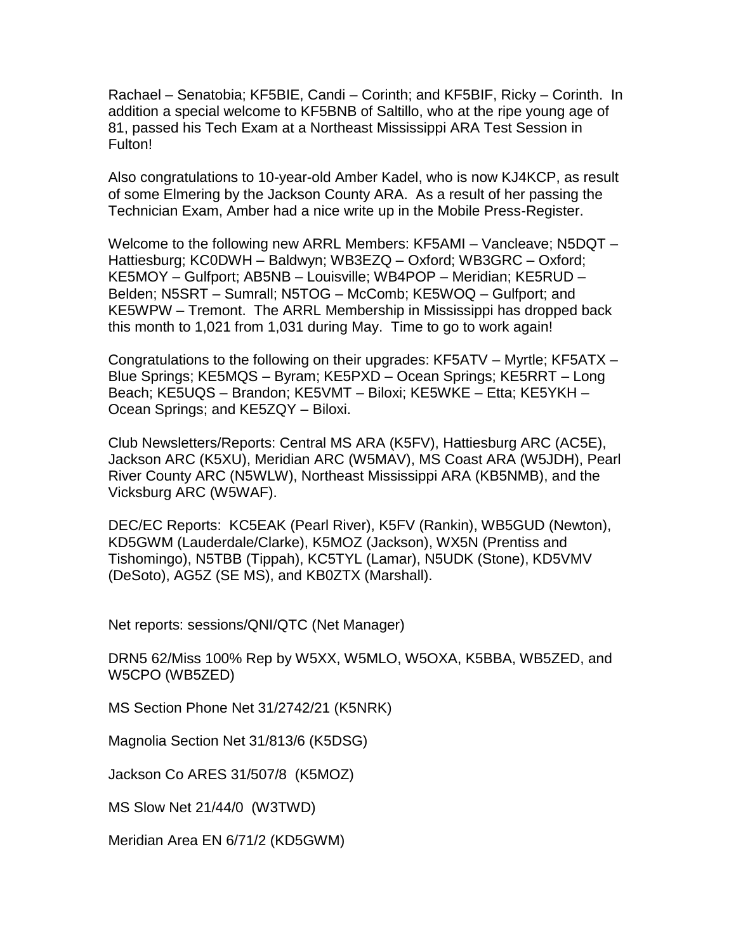Rachael – Senatobia; KF5BIE, Candi – Corinth; and KF5BIF, Ricky – Corinth. In addition a special welcome to KF5BNB of Saltillo, who at the ripe young age of 81, passed his Tech Exam at a Northeast Mississippi ARA Test Session in Fulton!

Also congratulations to 10-year-old Amber Kadel, who is now KJ4KCP, as result of some Elmering by the Jackson County ARA. As a result of her passing the Technician Exam, Amber had a nice write up in the Mobile Press-Register.

Welcome to the following new ARRL Members: KF5AMI – Vancleave; N5DQT – Hattiesburg; KC0DWH – Baldwyn; WB3EZQ – Oxford; WB3GRC – Oxford; KE5MOY – Gulfport; AB5NB – Louisville; WB4POP – Meridian; KE5RUD – Belden; N5SRT – Sumrall; N5TOG – McComb; KE5WOQ – Gulfport; and KE5WPW – Tremont. The ARRL Membership in Mississippi has dropped back this month to 1,021 from 1,031 during May. Time to go to work again!

Congratulations to the following on their upgrades: KF5ATV – Myrtle; KF5ATX – Blue Springs; KE5MQS – Byram; KE5PXD – Ocean Springs; KE5RRT – Long Beach; KE5UQS – Brandon; KE5VMT – Biloxi; KE5WKE – Etta; KE5YKH – Ocean Springs; and KE5ZQY – Biloxi.

Club Newsletters/Reports: Central MS ARA (K5FV), Hattiesburg ARC (AC5E), Jackson ARC (K5XU), Meridian ARC (W5MAV), MS Coast ARA (W5JDH), Pearl River County ARC (N5WLW), Northeast Mississippi ARA (KB5NMB), and the Vicksburg ARC (W5WAF).

DEC/EC Reports: KC5EAK (Pearl River), K5FV (Rankin), WB5GUD (Newton), KD5GWM (Lauderdale/Clarke), K5MOZ (Jackson), WX5N (Prentiss and Tishomingo), N5TBB (Tippah), KC5TYL (Lamar), N5UDK (Stone), KD5VMV (DeSoto), AG5Z (SE MS), and KB0ZTX (Marshall).

Net reports: sessions/QNI/QTC (Net Manager)

DRN5 62/Miss 100% Rep by W5XX, W5MLO, W5OXA, K5BBA, WB5ZED, and W5CPO (WB5ZED)

MS Section Phone Net 31/2742/21 (K5NRK)

Magnolia Section Net 31/813/6 (K5DSG)

Jackson Co ARES 31/507/8 (K5MOZ)

MS Slow Net 21/44/0 (W3TWD)

Meridian Area EN 6/71/2 (KD5GWM)